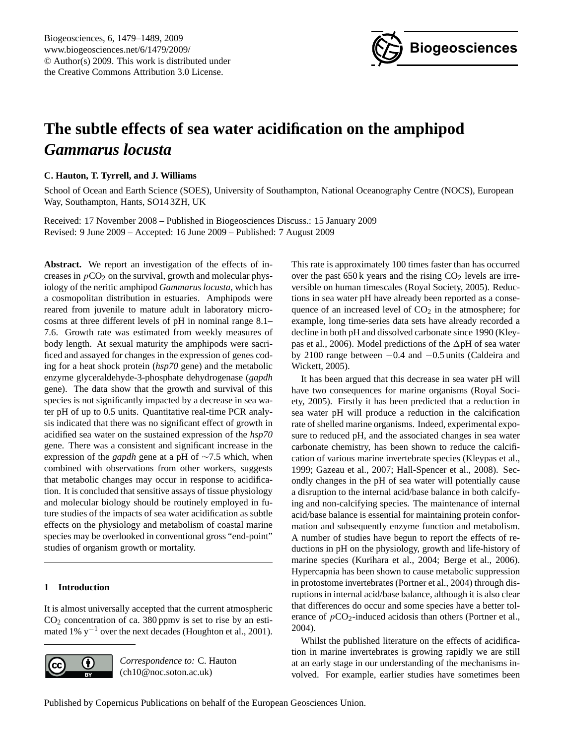

# <span id="page-0-0"></span>**The subtle effects of sea water acidification on the amphipod** *Gammarus locusta*

**C. Hauton, T. Tyrrell, and J. Williams**

School of Ocean and Earth Science (SOES), University of Southampton, National Oceanography Centre (NOCS), European Way, Southampton, Hants, SO14 3ZH, UK

Received: 17 November 2008 – Published in Biogeosciences Discuss.: 15 January 2009 Revised: 9 June 2009 – Accepted: 16 June 2009 – Published: 7 August 2009

**Abstract.** We report an investigation of the effects of increases in  $pCO<sub>2</sub>$  on the survival, growth and molecular physiology of the neritic amphipod *Gammarus locusta*, which has a cosmopolitan distribution in estuaries. Amphipods were reared from juvenile to mature adult in laboratory microcosms at three different levels of pH in nominal range 8.1– 7.6. Growth rate was estimated from weekly measures of body length. At sexual maturity the amphipods were sacrificed and assayed for changes in the expression of genes coding for a heat shock protein (*hsp70* gene) and the metabolic enzyme glyceraldehyde-3-phosphate dehydrogenase (*gapdh* gene). The data show that the growth and survival of this species is not significantly impacted by a decrease in sea water pH of up to 0.5 units. Quantitative real-time PCR analysis indicated that there was no significant effect of growth in acidified sea water on the sustained expression of the *hsp70* gene. There was a consistent and significant increase in the expression of the *gapdh* gene at a pH of ∼7.5 which, when combined with observations from other workers, suggests that metabolic changes may occur in response to acidification. It is concluded that sensitive assays of tissue physiology and molecular biology should be routinely employed in future studies of the impacts of sea water acidification as subtle effects on the physiology and metabolism of coastal marine species may be overlooked in conventional gross "end-point" studies of organism growth or mortality.

# **1 Introduction**

It is almost universally accepted that the current atmospheric  $CO<sub>2</sub>$  concentration of ca. 380 ppmv is set to rise by an estimated 1% y<sup>-1</sup> over the next decades (Houghton et al., 2001).



*Correspondence to:* C. Hauton (ch10@noc.soton.ac.uk)

This rate is approximately 100 times faster than has occurred over the past  $650k$  years and the rising  $CO<sub>2</sub>$  levels are irreversible on human timescales (Royal Society, 2005). Reductions in sea water pH have already been reported as a consequence of an increased level of  $CO<sub>2</sub>$  in the atmosphere; for example, long time-series data sets have already recorded a decline in both pH and dissolved carbonate since 1990 (Kleypas et al., 2006). Model predictions of the  $\Delta$ pH of sea water by 2100 range between −0.4 and −0.5 units (Caldeira and Wickett, 2005).

It has been argued that this decrease in sea water pH will have two consequences for marine organisms (Royal Society, 2005). Firstly it has been predicted that a reduction in sea water pH will produce a reduction in the calcification rate of shelled marine organisms. Indeed, experimental exposure to reduced pH, and the associated changes in sea water carbonate chemistry, has been shown to reduce the calcification of various marine invertebrate species (Kleypas et al., 1999; Gazeau et al., 2007; Hall-Spencer et al., 2008). Secondly changes in the pH of sea water will potentially cause a disruption to the internal acid/base balance in both calcifying and non-calcifying species. The maintenance of internal acid/base balance is essential for maintaining protein conformation and subsequently enzyme function and metabolism. A number of studies have begun to report the effects of reductions in pH on the physiology, growth and life-history of marine species (Kurihara et al., 2004; Berge et al., 2006). Hypercapnia has been shown to cause metabolic suppression in protostome invertebrates (Portner et al., 2004) through disruptions in internal acid/base balance, although it is also clear that differences do occur and some species have a better tolerance of  $pCO_2$ -induced acidosis than others (Portner et al., 2004).

Whilst the published literature on the effects of acidification in marine invertebrates is growing rapidly we are still at an early stage in our understanding of the mechanisms involved. For example, earlier studies have sometimes been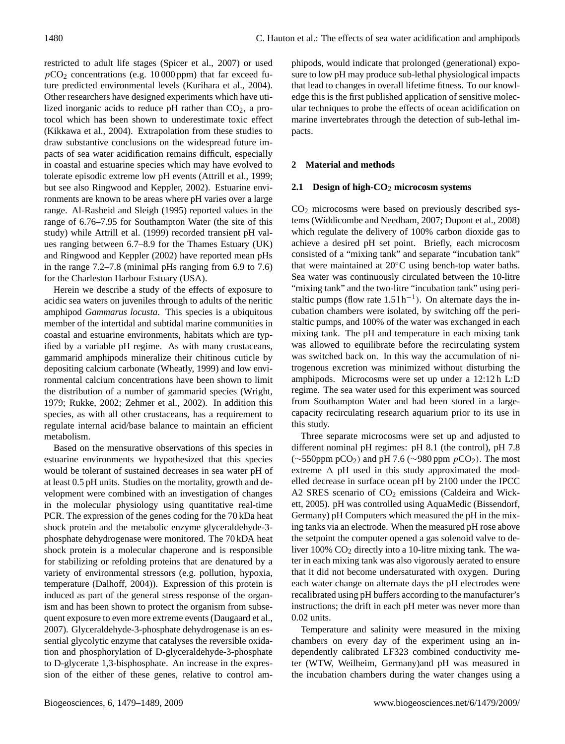restricted to adult life stages (Spicer et al., 2007) or used  $pCO<sub>2</sub>$  concentrations (e.g. 10 000 ppm) that far exceed future predicted environmental levels (Kurihara et al., 2004). Other researchers have designed experiments which have utilized inorganic acids to reduce pH rather than  $CO<sub>2</sub>$ , a protocol which has been shown to underestimate toxic effect (Kikkawa et al., 2004). Extrapolation from these studies to draw substantive conclusions on the widespread future impacts of sea water acidification remains difficult, especially in coastal and estuarine species which may have evolved to tolerate episodic extreme low pH events (Attrill et al., 1999; but see also Ringwood and Keppler, 2002). Estuarine environments are known to be areas where pH varies over a large range. Al-Rasheid and Sleigh (1995) reported values in the range of 6.76–7.95 for Southampton Water (the site of this study) while Attrill et al. (1999) recorded transient pH values ranging between 6.7–8.9 for the Thames Estuary (UK) and Ringwood and Keppler (2002) have reported mean pHs in the range 7.2–7.8 (minimal pHs ranging from 6.9 to 7.6) for the Charleston Harbour Estuary (USA).

Herein we describe a study of the effects of exposure to acidic sea waters on juveniles through to adults of the neritic amphipod *Gammarus locusta*. This species is a ubiquitous member of the intertidal and subtidal marine communities in coastal and estuarine environments, habitats which are typified by a variable pH regime. As with many crustaceans, gammarid amphipods mineralize their chitinous cuticle by depositing calcium carbonate (Wheatly, 1999) and low environmental calcium concentrations have been shown to limit the distribution of a number of gammarid species (Wright, 1979; Rukke, 2002; Zehmer et al., 2002). In addition this species, as with all other crustaceans, has a requirement to regulate internal acid/base balance to maintain an efficient metabolism.

Based on the mensurative observations of this species in estuarine environments we hypothesized that this species would be tolerant of sustained decreases in sea water pH of at least 0.5 pH units. Studies on the mortality, growth and development were combined with an investigation of changes in the molecular physiology using quantitative real-time PCR. The expression of the genes coding for the 70 kDa heat shock protein and the metabolic enzyme glyceraldehyde-3 phosphate dehydrogenase were monitored. The 70 kDA heat shock protein is a molecular chaperone and is responsible for stabilizing or refolding proteins that are denatured by a variety of environmental stressors (e.g. pollution, hypoxia, temperature (Dalhoff, 2004)). Expression of this protein is induced as part of the general stress response of the organism and has been shown to protect the organism from subsequent exposure to even more extreme events (Daugaard et al., 2007). Glyceraldehyde-3-phosphate dehydrogenase is an essential glycolytic enzyme that catalyses the reversible oxidation and phosphorylation of D-glyceraldehyde-3-phosphate to D-glycerate 1,3-bisphosphate. An increase in the expression of the either of these genes, relative to control amphipods, would indicate that prolonged (generational) exposure to low pH may produce sub-lethal physiological impacts that lead to changes in overall lifetime fitness. To our knowledge this is the first published application of sensitive molecular techniques to probe the effects of ocean acidification on marine invertebrates through the detection of sub-lethal impacts.

# **2 Material and methods**

## **2.1 Design of high-CO**<sup>2</sup> **microcosm systems**

CO<sup>2</sup> microcosms were based on previously described systems (Widdicombe and Needham, 2007; Dupont et al., 2008) which regulate the delivery of 100% carbon dioxide gas to achieve a desired pH set point. Briefly, each microcosm consisted of a "mixing tank" and separate "incubation tank" that were maintained at 20◦C using bench-top water baths. Sea water was continuously circulated between the 10-litre "mixing tank" and the two-litre "incubation tank" using peristaltic pumps (flow rate  $1.51h^{-1}$ ). On alternate days the incubation chambers were isolated, by switching off the peristaltic pumps, and 100% of the water was exchanged in each mixing tank. The pH and temperature in each mixing tank was allowed to equilibrate before the recirculating system was switched back on. In this way the accumulation of nitrogenous excretion was minimized without disturbing the amphipods. Microcosms were set up under a 12:12 h L:D regime. The sea water used for this experiment was sourced from Southampton Water and had been stored in a largecapacity recirculating research aquarium prior to its use in this study.

Three separate microcosms were set up and adjusted to different nominal pH regimes: pH 8.1 (the control), pH 7.8  $(\sim 550$ ppm pCO<sub>2</sub>) and pH 7.6 ( $\sim 980$  ppm pCO<sub>2</sub>). The most extreme  $\Delta$  pH used in this study approximated the modelled decrease in surface ocean pH by 2100 under the IPCC A2 SRES scenario of  $CO<sub>2</sub>$  emissions (Caldeira and Wickett, 2005). pH was controlled using AquaMedic (Bissendorf, Germany) pH Computers which measured the pH in the mixing tanks via an electrode. When the measured pH rose above the setpoint the computer opened a gas solenoid valve to deliver 100% CO<sub>2</sub> directly into a 10-litre mixing tank. The water in each mixing tank was also vigorously aerated to ensure that it did not become undersaturated with oxygen. During each water change on alternate days the pH electrodes were recalibrated using pH buffers according to the manufacturer's instructions; the drift in each pH meter was never more than 0.02 units.

Temperature and salinity were measured in the mixing chambers on every day of the experiment using an independently calibrated LF323 combined conductivity meter (WTW, Weilheim, Germany)and pH was measured in the incubation chambers during the water changes using a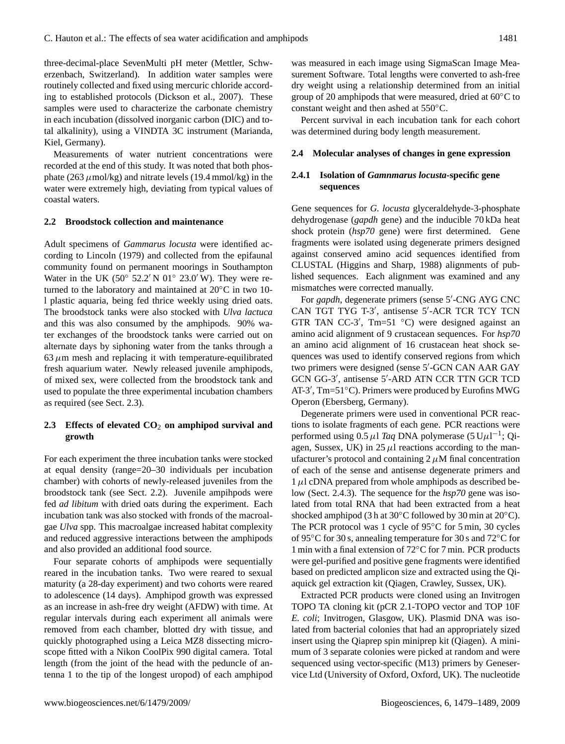three-decimal-place SevenMulti pH meter (Mettler, Schwerzenbach, Switzerland). In addition water samples were routinely collected and fixed using mercuric chloride according to established protocols (Dickson et al., 2007). These samples were used to characterize the carbonate chemistry in each incubation (dissolved inorganic carbon (DIC) and total alkalinity), using a VINDTA 3C instrument (Marianda, Kiel, Germany).

Measurements of water nutrient concentrations were recorded at the end of this study. It was noted that both phosphate (263  $\mu$ mol/kg) and nitrate levels (19.4 mmol/kg) in the water were extremely high, deviating from typical values of coastal waters.

#### **2.2 Broodstock collection and maintenance**

Adult specimens of *Gammarus locusta* were identified according to Lincoln (1979) and collected from the epifaunal community found on permanent moorings in Southampton Water in the UK (50 $\degree$  52.2' N 01 $\degree$  23.0' W). They were returned to the laboratory and maintained at 20◦C in two 10 l plastic aquaria, being fed thrice weekly using dried oats. The broodstock tanks were also stocked with *Ulva lactuca* and this was also consumed by the amphipods. 90% water exchanges of the broodstock tanks were carried out on alternate days by siphoning water from the tanks through a  $63 \mu$ m mesh and replacing it with temperature-equilibrated fresh aquarium water. Newly released juvenile amphipods, of mixed sex, were collected from the broodstock tank and used to populate the three experimental incubation chambers as required (see Sect. 2.3).

## **2.3 Effects of elevated CO**<sup>2</sup> **on amphipod survival and growth**

For each experiment the three incubation tanks were stocked at equal density (range=20–30 individuals per incubation chamber) with cohorts of newly-released juveniles from the broodstock tank (see Sect. 2.2). Juvenile ampihpods were fed *ad libitum* with dried oats during the experiment. Each incubation tank was also stocked with fronds of the macroalgae *Ulva* spp. This macroalgae increased habitat complexity and reduced aggressive interactions between the amphipods and also provided an additional food source.

Four separate cohorts of amphipods were sequentially reared in the incubation tanks. Two were reared to sexual maturity (a 28-day experiment) and two cohorts were reared to adolescence (14 days). Amphipod growth was expressed as an increase in ash-free dry weight (AFDW) with time. At regular intervals during each experiment all animals were removed from each chamber, blotted dry with tissue, and quickly photographed using a Leica MZ8 dissecting microscope fitted with a Nikon CoolPix 990 digital camera. Total length (from the joint of the head with the peduncle of antenna 1 to the tip of the longest uropod) of each amphipod

was measured in each image using SigmaScan Image Measurement Software. Total lengths were converted to ash-free dry weight using a relationship determined from an initial group of 20 amphipods that were measured, dried at 60◦C to constant weight and then ashed at 550◦C.

Percent survival in each incubation tank for each cohort was determined during body length measurement.

#### **2.4 Molecular analyses of changes in gene expression**

## **2.4.1 Isolation of** *Gamnmarus locusta***-specific gene sequences**

Gene sequences for *G. locusta* glyceraldehyde-3-phosphate dehydrogenase (*gapdh* gene) and the inducible 70 kDa heat shock protein (*hsp70* gene) were first determined. Gene fragments were isolated using degenerate primers designed against conserved amino acid sequences identified from CLUSTAL (Higgins and Sharp, 1988) alignments of published sequences. Each alignment was examined and any mismatches were corrected manually.

For gapdh, degenerate primers (sense 5'-CNG AYG CNC CAN TGT TYG T-3', antisense 5'-ACR TCR TCY TCN GTR TAN CC-3', Tm=51  $°C$ ) were designed against an amino acid alignment of 9 crustacean sequences. For *hsp70* an amino acid alignment of 16 crustacean heat shock sequences was used to identify conserved regions from which two primers were designed (sense 5'-GCN CAN AAR GAY GCN GG-3', antisense 5'-ARD ATN CCR TTN GCR TCD AT-3', Tm=51°C). Primers were produced by Eurofins MWG Operon (Ebersberg, Germany).

Degenerate primers were used in conventional PCR reactions to isolate fragments of each gene. PCR reactions were performed using  $0.5 \mu$ l *Taq* DNA polymerase (5 U $\mu$ l<sup>-1</sup>; Qiagen, Sussex, UK) in  $25 \mu l$  reactions according to the manufacturer's protocol and containing  $2 \mu$ M final concentration of each of the sense and antisense degenerate primers and  $1 \mu$ l cDNA prepared from whole amphipods as described below (Sect. 2.4.3). The sequence for the *hsp70* gene was isolated from total RNA that had been extracted from a heat shocked amphipod (3 h at 30◦C followed by 30 min at 20◦C). The PCR protocol was 1 cycle of 95◦C for 5 min, 30 cycles of 95◦C for 30 s, annealing temperature for 30 s and 72◦C for 1 min with a final extension of 72◦C for 7 min. PCR products were gel-purified and positive gene fragments were identified based on predicted amplicon size and extracted using the Qiaquick gel extraction kit (Qiagen, Crawley, Sussex, UK).

Extracted PCR products were cloned using an Invitrogen TOPO TA cloning kit (pCR 2.1-TOPO vector and TOP 10F *E. coli*; Invitrogen, Glasgow, UK). Plasmid DNA was isolated from bacterial colonies that had an appropriately sized insert using the Qiaprep spin miniprep kit (Qiagen). A minimum of 3 separate colonies were picked at random and were sequenced using vector-specific (M13) primers by Geneservice Ltd (University of Oxford, Oxford, UK). The nucleotide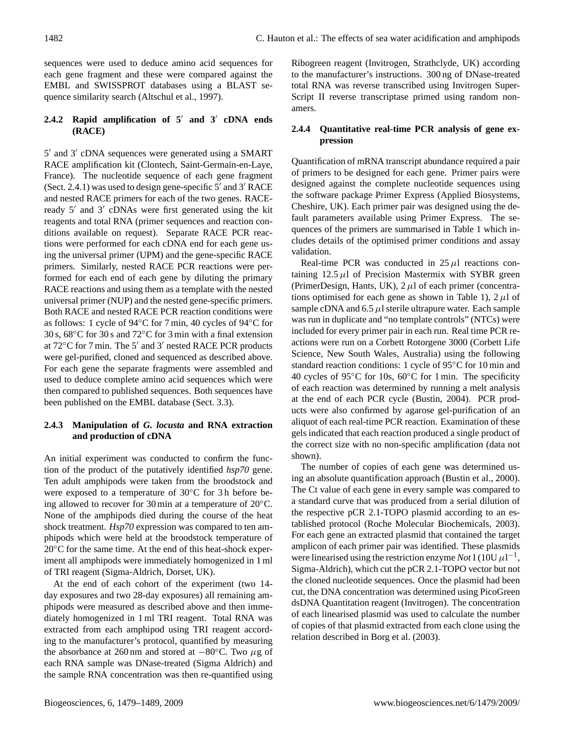sequences were used to deduce amino acid sequences for each gene fragment and these were compared against the EMBL and SWISSPROT databases using a BLAST sequence similarity search (Altschul et al., 1997).

# **2.4.2 Rapid amplification of 5**<sup>0</sup> **and 3**<sup>0</sup> **cDNA ends (RACE)**

5' and 3' cDNA sequences were generated using a SMART RACE amplification kit (Clontech, Saint-Germain-en-Laye, France). The nucleotide sequence of each gene fragment (Sect. 2.4.1) was used to design gene-specific  $5'$  and  $3'$  RACE and nested RACE primers for each of the two genes. RACEready 5' and 3' cDNAs were first generated using the kit reagents and total RNA (primer sequences and reaction conditions available on request). Separate RACE PCR reactions were performed for each cDNA end for each gene using the universal primer (UPM) and the gene-specific RACE primers. Similarly, nested RACE PCR reactions were performed for each end of each gene by diluting the primary RACE reactions and using them as a template with the nested universal primer (NUP) and the nested gene-specific primers. Both RACE and nested RACE PCR reaction conditions were as follows: 1 cycle of 94◦C for 7 min, 40 cycles of 94◦C for 30 s, 68◦C for 30 s and 72◦C for 3 min with a final extension at 72°C for 7 min. The 5' and 3' nested RACE PCR products were gel-purified, cloned and sequenced as described above. For each gene the separate fragments were assembled and used to deduce complete amino acid sequences which were then compared to published sequences. Both sequences have been published on the EMBL database (Sect. 3.3).

## **2.4.3 Manipulation of** *G. locusta* **and RNA extraction and production of cDNA**

An initial experiment was conducted to confirm the function of the product of the putatively identified *hsp70* gene. Ten adult amphipods were taken from the broodstock and were exposed to a temperature of 30◦C for 3 h before being allowed to recover for 30 min at a temperature of 20◦C. None of the amphipods died during the course of the heat shock treatment. *Hsp70* expression was compared to ten amphipods which were held at the broodstock temperature of 20<sup>°</sup>C for the same time. At the end of this heat-shock experiment all amphipods were immediately homogenized in 1 ml of TRI reagent (Sigma-Aldrich, Dorset, UK).

At the end of each cohort of the experiment (two 14 day exposures and two 28-day exposures) all remaining amphipods were measured as described above and then immediately homogenized in 1 ml TRI reagent. Total RNA was extracted from each amphipod using TRI reagent according to the manufacturer's protocol, quantified by measuring the absorbance at 260 nm and stored at  $-80°$ C. Two  $\mu$ g of each RNA sample was DNase-treated (Sigma Aldrich) and the sample RNA concentration was then re-quantified using Ribogreen reagent (Invitrogen, Strathclyde, UK) according to the manufacturer's instructions. 300 ng of DNase-treated total RNA was reverse transcribed using Invitrogen Super-Script II reverse transcriptase primed using random nonamers.

# **2.4.4 Quantitative real-time PCR analysis of gene expression**

Quantification of mRNA transcript abundance required a pair of primers to be designed for each gene. Primer pairs were designed against the complete nucleotide sequences using the software package Primer Express (Applied Biosystems, Cheshire, UK). Each primer pair was designed using the default parameters available using Primer Express. The sequences of the primers are summarised in Table 1 which includes details of the optimised primer conditions and assay validation.

Real-time PCR was conducted in  $25 \mu l$  reactions containing  $12.5 \mu l$  of Precision Mastermix with SYBR green (PrimerDesign, Hants, UK),  $2 \mu l$  of each primer (concentrations optimised for each gene as shown in Table 1),  $2 \mu$ l of sample cDNA and  $6.5 \mu$ l sterile ultrapure water. Each sample was run in duplicate and "no template controls" (NTCs) were included for every primer pair in each run. Real time PCR reactions were run on a Corbett Rotorgene 3000 (Corbett Life Science, New South Wales, Australia) using the following standard reaction conditions: 1 cycle of 95◦C for 10 min and 40 cycles of 95◦C for 10s, 60◦C for 1 min. The specificity of each reaction was determined by running a melt analysis at the end of each PCR cycle (Bustin, 2004). PCR products were also confirmed by agarose gel-purification of an aliquot of each real-time PCR reaction. Examination of these gels indicated that each reaction produced a single product of the correct size with no non-specific amplification (data not shown).

The number of copies of each gene was determined using an absolute quantification approach (Bustin et al., 2000). The Ct value of each gene in every sample was compared to a standard curve that was produced from a serial dilution of the respective pCR 2.1-TOPO plasmid according to an established protocol (Roche Molecular Biochemicals, 2003). For each gene an extracted plasmid that contained the target amplicon of each primer pair was identified. These plasmids were linearised using the restriction enzyme *Not* I (10U  $\mu$ 1<sup>-1</sup>, Sigma-Aldrich), which cut the pCR 2.1-TOPO vector but not the cloned nucleotide sequences. Once the plasmid had been cut, the DNA concentration was determined using PicoGreen dsDNA Quantitation reagent (Invitrogen). The concentration of each linearised plasmid was used to calculate the number of copies of that plasmid extracted from each clone using the relation described in Borg et al. (2003).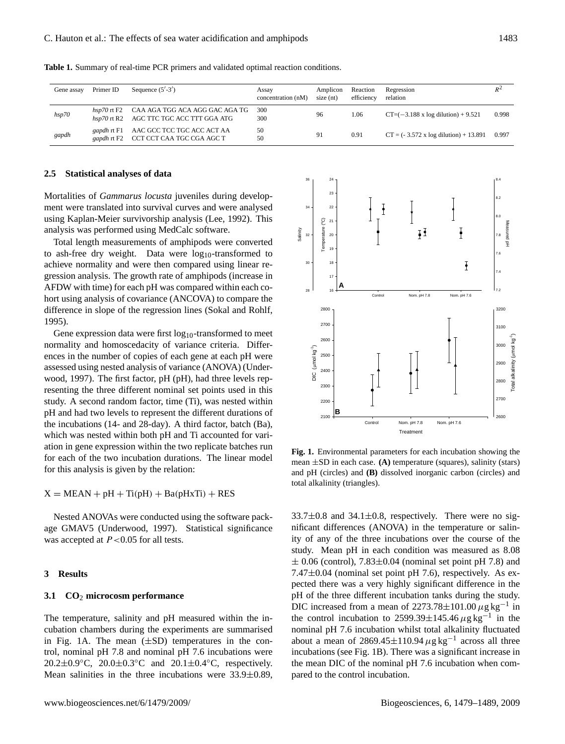| Gene assay | Primer ID       | Sequence $(5'$ -3')                                                       | Assay<br>concentration (nM) | Amplicon<br>$size$ (nt) | Reaction<br>efficiency | Regression<br>relation                               | $R^2$ |
|------------|-----------------|---------------------------------------------------------------------------|-----------------------------|-------------------------|------------------------|------------------------------------------------------|-------|
| hsp70      | $hsp70$ rt $F2$ | CAA AGA TGG ACA AGG GAC AGA TG<br>hsp70 rt R2 AGC TTC TGC ACC TTT GGA ATG | 300<br>300                  | 96                      | 1.06                   | $CT=(-3.188 \times \log \frac{1}{100}) + 9.521$      | 0.998 |
| gapdh      | gapdh rt F1     | AAC GCC TCC TGC ACC ACT AA<br>gapdh rt F2 CCT CCT CAA TGC CGA AGC T       | 50<br>50                    | 91                      | 0.91                   | $CT = (-3.572 \times \log \text{dilution}) + 13.891$ | 0.997 |

**Table 1.** Summary of real-time PCR primers and validated optimal reaction conditions.

#### **2.5 Statistical analyses of data**

Mortalities of *Gammarus locusta* juveniles during development were translated into survival curves and were analysed using Kaplan-Meier survivorship analysis (Lee, 1992). This analysis was performed using MedCalc software.

Total length measurements of amphipods were converted to ash-free dry weight. Data were  $log_{10}$ -transformed to achieve normality and were then compared using linear regression analysis. The growth rate of amphipods (increase in AFDW with time) for each pH was compared within each cohort using analysis of covariance (ANCOVA) to compare the difference in slope of the regression lines (Sokal and Rohlf, 1995).

Gene expression data were first  $log_{10}$ -transformed to meet normality and homoscedacity of variance criteria. Differences in the number of copies of each gene at each pH were assessed using nested analysis of variance (ANOVA) (Underwood, 1997). The first factor, pH (pH), had three levels representing the three different nominal set points used in this study. A second random factor, time (Ti), was nested within pH and had two levels to represent the different durations of the incubations (14- and 28-day). A third factor, batch (Ba), which was nested within both pH and Ti accounted for variation in gene expression within the two replicate batches run for each of the two incubation durations. The linear model for this analysis is given by the relation:

 $X = MEAN + pH + Ti(pH) + Ba(pHxTi) + RES$ 

Nested ANOVAs were conducted using the software package GMAV5 (Underwood, 1997). Statistical significance was accepted at  $P < 0.05$  for all tests.

#### **3 Results**

#### **3.1 CO**<sup>2</sup> **microcosm performance**

The temperature, salinity and pH measured within the incubation chambers during the experiments are summarised in Fig. 1A. The mean  $(\pm SD)$  temperatures in the control, nominal pH 7.8 and nominal pH 7.6 incubations were  $20.2\pm0.9$ °C,  $20.0\pm0.3$ °C and  $20.1\pm0.4$ °C, respectively. Mean salinities in the three incubations were 33.9±0.89,



**Fig. 1.** Environmental parameters for each incubation showing the mean ±SD in each case. **(A)** temperature (squares), salinity (stars) and pH (circles) and **(B)** dissolved inorganic carbon (circles) and total alkalinity (triangles).

 $33.7\pm0.8$  and  $34.1\pm0.8$ , respectively. There were no significant differences (ANOVA) in the temperature or salinity of any of the three incubations over the course of the study. Mean pH in each condition was measured as 8.08  $\pm$  0.06 (control), 7.83 $\pm$ 0.04 (nominal set point pH 7.8) and 7.47±0.04 (nominal set point pH 7.6), respectively. As expected there was a very highly significant difference in the pH of the three different incubation tanks during the study. DIC increased from a mean of 2273.78 $\pm$ 101.00  $\mu$ g kg<sup>-1</sup> in the control incubation to 2599.39 $\pm$ 145.46  $\mu$ g kg<sup>-1</sup> in the nominal pH 7.6 incubation whilst total alkalinity fluctuated about a mean of 2869.45 $\pm$ 110.94  $\mu$ g kg<sup>-1</sup> across all three incubations (see Fig. 1B). There was a significant increase in the mean DIC of the nominal pH 7.6 incubation when compared to the control incubation.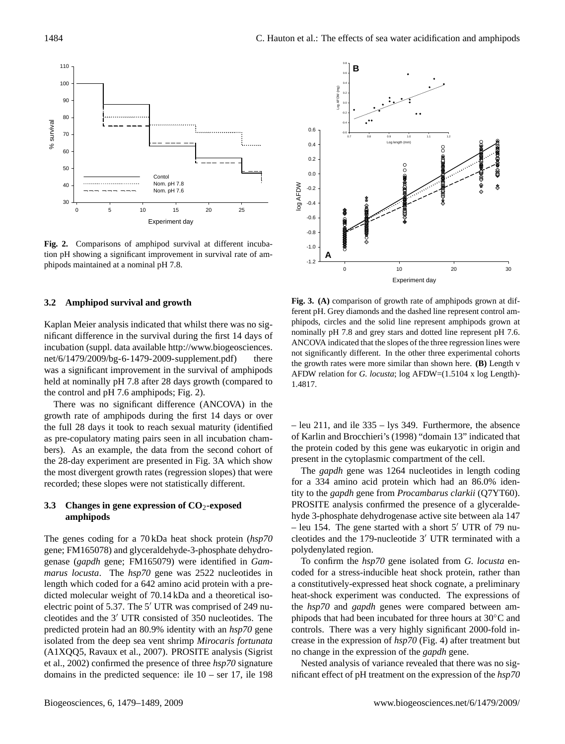

**Fig. 2.** Comparisons of amphipod survival at different incubation pH showing a significant improvement in survival rate of amphipods maintained at a nominal pH 7.8.

#### **3.2 Amphipod survival and growth**

Kaplan Meier analysis indicated that whilst there was no significant difference in the survival during the first 14 days of incubation (suppl. data available [http://www.biogeosciences.](http://www.biogeosciences.net/6/1479/2009/bg-6-1479-2009-supplement.pdf) [net/6/1479/2009/bg-6-1479-2009-supplement.pdf\)](http://www.biogeosciences.net/6/1479/2009/bg-6-1479-2009-supplement.pdf) there was a significant improvement in the survival of amphipods held at nominally pH 7.8 after 28 days growth (compared to the control and pH 7.6 amphipods; Fig. 2).

There was no significant difference (ANCOVA) in the growth rate of amphipods during the first 14 days or over the full 28 days it took to reach sexual maturity (identified as pre-copulatory mating pairs seen in all incubation chambers). As an example, the data from the second cohort of the 28-day experiment are presented in Fig. 3A which show the most divergent growth rates (regression slopes) that were recorded; these slopes were not statistically different.

## **3.3 Changes in gene expression of CO**2**-exposed amphipods**

The genes coding for a 70 kDa heat shock protein (*hsp70* gene; FM165078) and glyceraldehyde-3-phosphate dehydrogenase (*gapdh* gene; FM165079) were identified in *Gammarus locusta*. The *hsp70* gene was 2522 nucleotides in length which coded for a 642 amino acid protein with a predicted molecular weight of 70.14 kDa and a theoretical isoelectric point of 5.37. The  $5'$  UTR was comprised of 249 nucleotides and the 3<sup>'</sup> UTR consisted of 350 nucleotides. The predicted protein had an 80.9% identity with an *hsp70* gene isolated from the deep sea vent shrimp *Mirocaris fortunata* (A1XQQ5, Ravaux et al., 2007). PROSITE analysis (Sigrist et al., 2002) confirmed the presence of three *hsp70* signature domains in the predicted sequence: ile 10 – ser 17, ile 198



**Fig. 3. (A)** comparison of growth rate of amphipods grown at different pH. Grey diamonds and the dashed line represent control amphipods, circles and the solid line represent amphipods grown at nominally pH 7.8 and grey stars and dotted line represent pH 7.6. ANCOVA indicated that the slopes of the three regression lines were not significantly different. In the other three experimental cohorts the growth rates were more similar than shown here. **(B)** Length v AFDW relation for *G. locusta*; log AFDW=(1.5104 x log Length)- 1.4817.

– leu 211, and ile 335 – lys 349. Furthermore, the absence of Karlin and Brocchieri's (1998) "domain 13" indicated that the protein coded by this gene was eukaryotic in origin and present in the cytoplasmic compartment of the cell.

The *gapdh* gene was 1264 nucleotides in length coding for a 334 amino acid protein which had an 86.0% identity to the *gapdh* gene from *Procambarus clarkii* (Q7YT60). PROSITE analysis confirmed the presence of a glyceraldehyde 3-phosphate dehydrogenase active site between ala 147 – leu 154. The gene started with a short  $5'$  UTR of 79 nucleotides and the 179-nucleotide  $3'$  UTR terminated with a polydenylated region.

To confirm the *hsp70* gene isolated from *G. locusta* encoded for a stress-inducible heat shock protein, rather than a constitutively-expressed heat shock cognate, a preliminary heat-shock experiment was conducted. The expressions of the *hsp70* and *gapdh* genes were compared between amphipods that had been incubated for three hours at 30◦C and controls. There was a very highly significant 2000-fold increase in the expression of *hsp70* (Fig. 4) after treatment but no change in the expression of the *gapdh* gene.

Nested analysis of variance revealed that there was no significant effect of pH treatment on the expression of the *hsp70*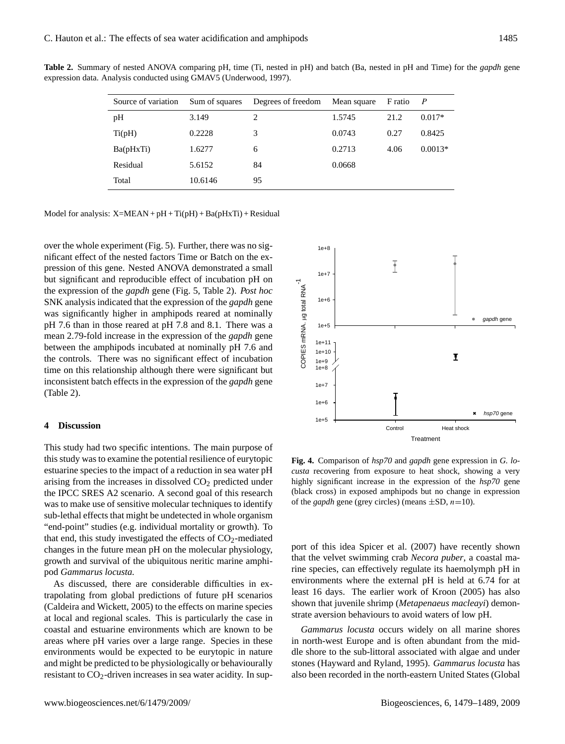| Source of variation | Sum of squares | Degrees of freedom | Mean square | F ratio | $\overline{P}$ |
|---------------------|----------------|--------------------|-------------|---------|----------------|
| pH                  | 3.149          | 2                  | 1.5745      | 21.2    | $0.017*$       |
| Ti(pH)              | 0.2228         | 3                  | 0.0743      | 0.27    | 0.8425         |
| Ba(pHxTi)           | 1.6277         | 6                  | 0.2713      | 4.06    | $0.0013*$      |
| Residual            | 5.6152         | 84                 | 0.0668      |         |                |
| Total               | 10.6146        | 95                 |             |         |                |

**Table 2.** Summary of nested ANOVA comparing pH, time (Ti, nested in pH) and batch (Ba, nested in pH and Time) for the *gapdh* gene expression data. Analysis conducted using GMAV5 (Underwood, 1997).

Model for analysis:  $X=MEAN + pH + Ti(pH) + Ba(pHXTi) + Residual$ 

over the whole experiment (Fig. 5). Further, there was no significant effect of the nested factors Time or Batch on the expression of this gene. Nested ANOVA demonstrated a small but significant and reproducible effect of incubation pH on the expression of the *gapdh* gene (Fig. 5, Table 2). *Post hoc* SNK analysis indicated that the expression of the *gapdh* gene was significantly higher in amphipods reared at nominally pH 7.6 than in those reared at pH 7.8 and 8.1. There was a mean 2.79-fold increase in the expression of the *gapdh* gene between the amphipods incubated at nominally pH 7.6 and the controls. There was no significant effect of incubation time on this relationship although there were significant but inconsistent batch effects in the expression of the *gapdh* gene (Table 2).

#### **4 Discussion**

This study had two specific intentions. The main purpose of this study was to examine the potential resilience of eurytopic estuarine species to the impact of a reduction in sea water pH arising from the increases in dissolved  $CO<sub>2</sub>$  predicted under the IPCC SRES A2 scenario. A second goal of this research was to make use of sensitive molecular techniques to identify sub-lethal effects that might be undetected in whole organism "end-point" studies (e.g. individual mortality or growth). To that end, this study investigated the effects of  $CO<sub>2</sub>$ -mediated changes in the future mean pH on the molecular physiology, growth and survival of the ubiquitous neritic marine amphipod *Gammarus locusta.* pH 7.6 than in those reared at pH 7.8 and 8.1. There was a<br>mean 2.79-fold increase in the expression of the *godh* gene<br>between the amphipods incubated at nominally pH 7.6 and<br>the controls. There was no significant effect

As discussed, there are considerable difficulties in extrapolating from global predictions of future pH scenarios (Caldeira and Wickett, 2005) to the effects on marine species at local and regional scales. This is particularly the case in coastal and estuarine environments which are known to be areas where pH varies over a large range. Species in these environments would be expected to be eurytopic in nature and might be predicted to be physiologically or behaviourally



**Fig. 4.** Comparison of *hsp70* and *gapdh* gene expression in *G. locusta* recovering from exposure to heat shock, showing a very highly significant increase in the expression of the *hsp70* gene (black cross) in exposed amphipods but no change in expression of the *gapdh* gene (grey circles) (means  $\pm$ SD,  $n$ =10).

port of this idea Spicer et al. (2007) have recently shown that the velvet swimming crab *Necora puber*, a coastal marine species, can effectively regulate its haemolymph pH in environments where the external pH is held at 6.74 for at least 16 days. The earlier work of Kroon (2005) has also shown that juvenile shrimp (*Metapenaeus macleayi*) demonstrate aversion behaviours to avoid waters of low pH.

*Gammarus locusta* occurs widely on all marine shores in north-west Europe and is often abundant from the middle shore to the sub-littoral associated with algae and under stones (Hayward and Ryland, 1995). *Gammarus locusta* has also been recorded in the north-eastern United States (Global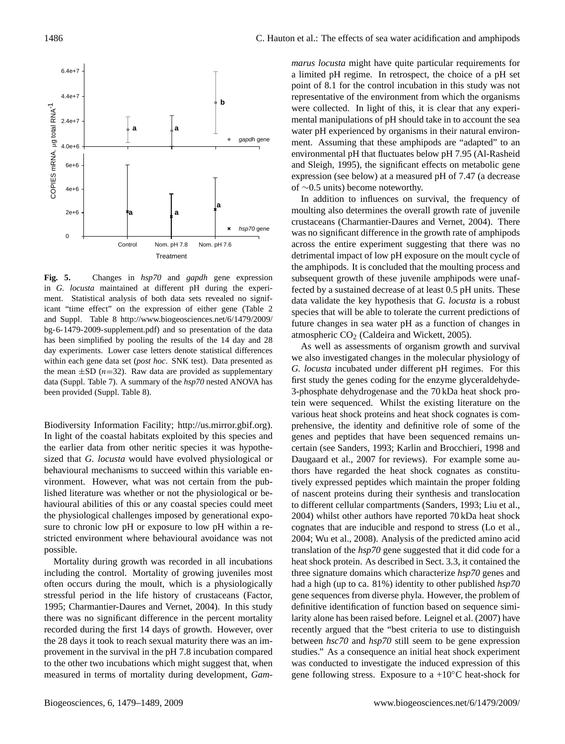

**Fig. 5.** Changes in *hsp70* and *gapdh* gene expression in *G. locusta* maintained at different pH during the experiment. Statistical analysis of both data sets revealed no significant "time effect" on the expression of either gene (Table 2 and Suppl. Table 8 [http://www.biogeosciences.net/6/1479/2009/](http://www.biogeosciences.net/6/1479/2009/bg-6-1479-2009-supplement.pdf) [bg-6-1479-2009-supplement.pdf\)](http://www.biogeosciences.net/6/1479/2009/bg-6-1479-2009-supplement.pdf) and so presentation of the data has been simplified by pooling the results of the 14 day and 28 day experiments. Lower case letters denote statistical differences within each gene data set (*post hoc*. SNK test). Data presented as the mean  $\pm$ SD (*n*=32). Raw data are provided as supplementary data (Suppl. Table 7). A summary of the *hsp70* nested ANOVA has been provided (Suppl. Table 8).

Biodiversity Information Facility; [http://us.mirror.gbif.org\)](http://us.mirror.gbif.org). In light of the coastal habitats exploited by this species and the earlier data from other neritic species it was hypothesized that *G. locusta* would have evolved physiological or behavioural mechanisms to succeed within this variable environment. However, what was not certain from the published literature was whether or not the physiological or behavioural abilities of this or any coastal species could meet the physiological challenges imposed by generational exposure to chronic low pH or exposure to low pH within a restricted environment where behavioural avoidance was not possible.

Mortality during growth was recorded in all incubations including the control. Mortality of growing juveniles most often occurs during the moult, which is a physiologically stressful period in the life history of crustaceans (Factor, 1995; Charmantier-Daures and Vernet, 2004). In this study there was no significant difference in the percent mortality recorded during the first 14 days of growth. However, over the 28 days it took to reach sexual maturity there was an improvement in the survival in the pH 7.8 incubation compared to the other two incubations which might suggest that, when measured in terms of mortality during development, *Gam-* *marus locusta* might have quite particular requirements for a limited pH regime. In retrospect, the choice of a pH set point of 8.1 for the control incubation in this study was not representative of the environment from which the organisms were collected. In light of this, it is clear that any experimental manipulations of pH should take in to account the sea water pH experienced by organisms in their natural environment. Assuming that these amphipods are "adapted" to an environmental pH that fluctuates below pH 7.95 (Al-Rasheid and Sleigh, 1995), the significant effects on metabolic gene expression (see below) at a measured pH of 7.47 (a decrease of ∼0.5 units) become noteworthy.

In addition to influences on survival, the frequency of moulting also determines the overall growth rate of juvenile crustaceans (Charmantier-Daures and Vernet, 2004). There was no significant difference in the growth rate of amphipods across the entire experiment suggesting that there was no detrimental impact of low pH exposure on the moult cycle of the amphipods. It is concluded that the moulting process and subsequent growth of these juvenile amphipods were unaffected by a sustained decrease of at least 0.5 pH units. These data validate the key hypothesis that *G. locusta* is a robust species that will be able to tolerate the current predictions of future changes in sea water pH as a function of changes in atmospheric CO<sub>2</sub> (Caldeira and Wickett, 2005).

As well as assessments of organism growth and survival we also investigated changes in the molecular physiology of *G. locusta* incubated under different pH regimes. For this first study the genes coding for the enzyme glyceraldehyde-3-phosphate dehydrogenase and the 70 kDa heat shock protein were sequenced. Whilst the existing literature on the various heat shock proteins and heat shock cognates is comprehensive, the identity and definitive role of some of the genes and peptides that have been sequenced remains uncertain (see Sanders, 1993; Karlin and Brocchieri, 1998 and Daugaard et al., 2007 for reviews). For example some authors have regarded the heat shock cognates as constitutively expressed peptides which maintain the proper folding of nascent proteins during their synthesis and translocation to different cellular compartments (Sanders, 1993; Liu et al., 2004) whilst other authors have reported 70 kDa heat shock cognates that are inducible and respond to stress (Lo et al., 2004; Wu et al., 2008). Analysis of the predicted amino acid translation of the *hsp70* gene suggested that it did code for a heat shock protein. As described in Sect. 3.3, it contained the three signature domains which characterize *hsp70* genes and had a high (up to ca. 81%) identity to other published *hsp70* gene sequences from diverse phyla. However, the problem of definitive identification of function based on sequence similarity alone has been raised before. Leignel et al. (2007) have recently argued that the "best criteria to use to distinguish between *hsc70* and *hsp70* still seem to be gene expression studies." As a consequence an initial heat shock experiment was conducted to investigate the induced expression of this gene following stress. Exposure to a +10 $\rm ^{\circ}C$  heat-shock for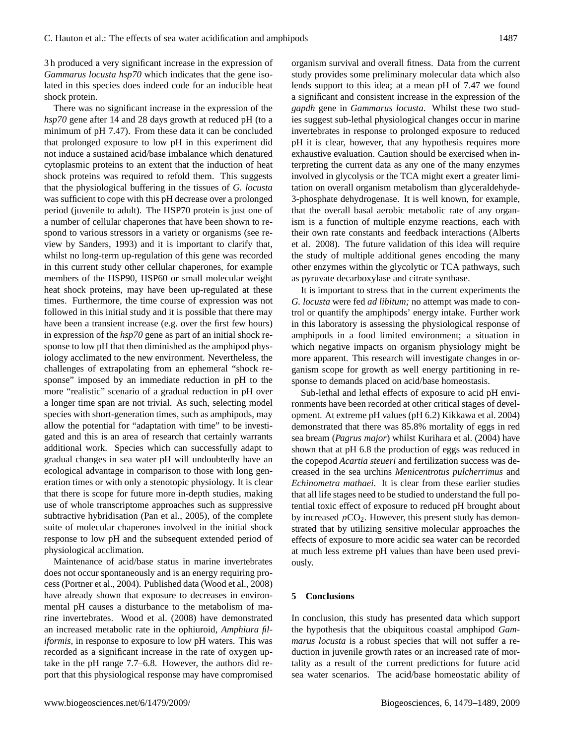3 h produced a very significant increase in the expression of *Gammarus locusta hsp70* which indicates that the gene isolated in this species does indeed code for an inducible heat shock protein.

There was no significant increase in the expression of the *hsp70* gene after 14 and 28 days growth at reduced pH (to a minimum of pH 7.47). From these data it can be concluded that prolonged exposure to low pH in this experiment did not induce a sustained acid/base imbalance which denatured cytoplasmic proteins to an extent that the induction of heat shock proteins was required to refold them. This suggests that the physiological buffering in the tissues of *G. locusta* was sufficient to cope with this pH decrease over a prolonged period (juvenile to adult). The HSP70 protein is just one of a number of cellular chaperones that have been shown to respond to various stressors in a variety or organisms (see review by Sanders, 1993) and it is important to clarify that, whilst no long-term up-regulation of this gene was recorded in this current study other cellular chaperones, for example members of the HSP90, HSP60 or small molecular weight heat shock proteins, may have been up-regulated at these times. Furthermore, the time course of expression was not followed in this initial study and it is possible that there may have been a transient increase (e.g. over the first few hours) in expression of the *hsp70* gene as part of an initial shock response to low pH that then diminished as the amphipod physiology acclimated to the new environment. Nevertheless, the challenges of extrapolating from an ephemeral "shock response" imposed by an immediate reduction in pH to the more "realistic" scenario of a gradual reduction in pH over a longer time span are not trivial. As such, selecting model species with short-generation times, such as amphipods, may allow the potential for "adaptation with time" to be investigated and this is an area of research that certainly warrants additional work. Species which can successfully adapt to gradual changes in sea water pH will undoubtedly have an ecological advantage in comparison to those with long generation times or with only a stenotopic physiology. It is clear that there is scope for future more in-depth studies, making use of whole transcriptome approaches such as suppressive subtractive hybridisation (Pan et al., 2005), of the complete suite of molecular chaperones involved in the initial shock response to low pH and the subsequent extended period of physiological acclimation.

Maintenance of acid/base status in marine invertebrates does not occur spontaneously and is an energy requiring process (Portner et al., 2004). Published data (Wood et al., 2008) have already shown that exposure to decreases in environmental pH causes a disturbance to the metabolism of marine invertebrates. Wood et al. (2008) have demonstrated an increased metabolic rate in the ophiuroid, *Amphiura filiformis,* in response to exposure to low pH waters. This was recorded as a significant increase in the rate of oxygen uptake in the pH range 7.7–6.8. However, the authors did report that this physiological response may have compromised

organism survival and overall fitness. Data from the current study provides some preliminary molecular data which also lends support to this idea; at a mean pH of 7.47 we found a significant and consistent increase in the expression of the *gapdh* gene in *Gammarus locusta*. Whilst these two studies suggest sub-lethal physiological changes occur in marine invertebrates in response to prolonged exposure to reduced pH it is clear, however, that any hypothesis requires more exhaustive evaluation. Caution should be exercised when interpreting the current data as any one of the many enzymes involved in glycolysis or the TCA might exert a greater limitation on overall organism metabolism than glyceraldehyde-3-phosphate dehydrogenase. It is well known, for example, that the overall basal aerobic metabolic rate of any organism is a function of multiple enzyme reactions, each with their own rate constants and feedback interactions (Alberts et al. 2008). The future validation of this idea will require the study of multiple additional genes encoding the many other enzymes within the glycolytic or TCA pathways, such as pyruvate decarboxylase and citrate synthase.

It is important to stress that in the current experiments the *G. locusta* were fed *ad libitum;* no attempt was made to control or quantify the amphipods' energy intake. Further work in this laboratory is assessing the physiological response of amphipods in a food limited environment; a situation in which negative impacts on organism physiology might be more apparent. This research will investigate changes in organism scope for growth as well energy partitioning in response to demands placed on acid/base homeostasis.

Sub-lethal and lethal effects of exposure to acid pH environments have been recorded at other critical stages of development. At extreme pH values (pH 6.2) Kikkawa et al. 2004) demonstrated that there was 85.8% mortality of eggs in red sea bream (*Pagrus major*) whilst Kurihara et al. (2004) have shown that at pH 6.8 the production of eggs was reduced in the copepod *Acartia steueri* and fertilization success was decreased in the sea urchins *Menicentrotus pulcherrimus* and *Echinometra mathaei*. It is clear from these earlier studies that all life stages need to be studied to understand the full potential toxic effect of exposure to reduced pH brought about by increased  $pCO<sub>2</sub>$ . However, this present study has demonstrated that by utilizing sensitive molecular approaches the effects of exposure to more acidic sea water can be recorded at much less extreme pH values than have been used previously.

### **5 Conclusions**

In conclusion, this study has presented data which support the hypothesis that the ubiquitous coastal amphipod *Gammarus locusta* is a robust species that will not suffer a reduction in juvenile growth rates or an increased rate of mortality as a result of the current predictions for future acid sea water scenarios. The acid/base homeostatic ability of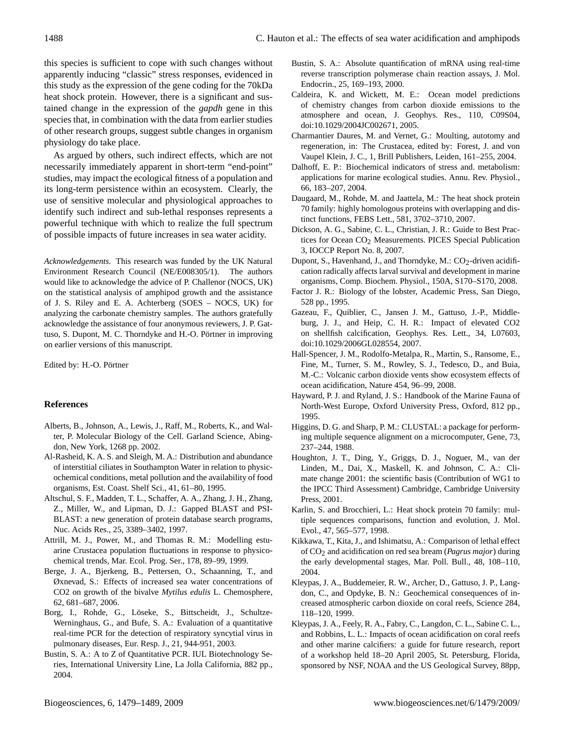this species is sufficient to cope with such changes without apparently inducing "classic" stress responses, evidenced in this study as the expression of the gene coding for the 70kDa heat shock protein. However, there is a significant and sustained change in the expression of the *gapdh* gene in this species that, in combination with the data from earlier studies of other research groups, suggest subtle changes in organism physiology do take place.

As argued by others, such indirect effects, which are not necessarily immediately apparent in short-term "end-point" studies, may impact the ecological fitness of a population and its long-term persistence within an ecosystem. Clearly, the use of sensitive molecular and physiological approaches to identify such indirect and sub-lethal responses represents a powerful technique with which to realize the full spectrum of possible impacts of future increases in sea water acidity.

*Acknowledgements.* This research was funded by the UK Natural Environment Research Council (NE/E008305/1). The authors would like to acknowledge the advice of P. Challenor (NOCS, UK) on the statistical analysis of amphipod growth and the assistance of J. S. Riley and E. A. Achterberg (SOES – NOCS, UK) for analyzing the carbonate chemistry samples. The authors gratefully acknowledge the assistance of four anonymous reviewers, J. P. Gattuso, S. Dupont, M. C. Thorndyke and H.-O. Pörtner in improving on earlier versions of this manuscript.

Edited by: H.-O. Pörtner

### **References**

- Alberts, B., Johnson, A., Lewis, J., Raff, M., Roberts, K., and Walter, P. Molecular Biology of the Cell. Garland Science, Abingdon, New York, 1268 pp. 2002.
- Al-Rasheid, K. A. S. and Sleigh, M. A.: Distribution and abundance of interstitial ciliates in Southampton Water in relation to physicochemical conditions, metal pollution and the availability of food organisms, Est. Coast. Shelf Sci., 41, 61–80, 1995.
- Altschul, S. F., Madden, T. L., Schaffer, A. A., Zhang, J. H., Zhang, Z., Miller, W., and Lipman, D. J.: Gapped BLAST and PSI-BLAST: a new generation of protein database search programs, Nuc. Acids Res., 25, 3389–3402, 1997.
- Attrill, M. J., Power, M., and Thomas R. M.: Modelling estuarine Crustacea population fluctuations in response to physicochemical trends, Mar. Ecol. Prog. Ser., 178, 89–99, 1999.
- Berge, J. A., Bjerkeng, B., Pettersen, O., Schaanning, T., and Øxnevad, S.: Effects of increased sea water concentrations of CO2 on growth of the bivalve *Mytilus edulis* L. Chemosphere, 62, 681–687, 2006.
- Borg, I., Rohde, G., Löseke, S., Bittscheidt, J., Schultze-Werninghaus, G., and Bufe, S. A.: Evaluation of a quantitative real-time PCR for the detection of respiratory syncytial virus in pulmonary diseases, Eur. Resp. J., 21, 944-951, 2003.
- Bustin, S. A.: A to Z of Quantitative PCR. IUL Biotechnology Series, International University Line, La Jolla California, 882 pp., 2004.
- Bustin, S. A.: Absolute quantification of mRNA using real-time reverse transcription polymerase chain reaction assays, J. Mol. Endocrin., 25, 169–193, 2000.
- Caldeira, K. and Wickett, M. E.: Ocean model predictions of chemistry changes from carbon dioxide emissions to the atmosphere and ocean, J. Geophys. Res., 110, C09S04, doi:10.1029/2004JC002671, 2005.
- Charmantier Daures, M. and Vernet, G.: Moulting, autotomy and regeneration, in: The Crustacea, edited by: Forest, J. and von Vaupel Klein, J. C., 1, Brill Publishers, Leiden, 161–255, 2004.
- Dalhoff, E. P.: Biochemical indicators of stress and. metabolism: applications for marine ecological studies. Annu. Rev. Physiol., 66, 183–207, 2004.
- Daugaard, M., Rohde, M. and Jaattela, M.: The heat shock protein 70 family: highly homologous proteins with overlapping and distinct functions, FEBS Lett., 581, 3702–3710, 2007.
- Dickson, A. G., Sabine, C. L., Christian, J. R.: Guide to Best Practices for Ocean CO<sub>2</sub> Measurements. PICES Special Publication 3, IOCCP Report No. 8, 2007.
- Dupont, S., Havenhand, J., and Thorndyke, M.:  $CO<sub>2</sub>$ -driven acidification radically affects larval survival and development in marine organisms, Comp. Biochem. Physiol., 150A, S170–S170, 2008.
- Factor J. R.: Biology of the lobster, Academic Press, San Diego, 528 pp., 1995.
- Gazeau, F., Quiblier, C., Jansen J. M., Gattuso, J.-P., Middleburg, J. J., and Heip, C. H. R.: Impact of elevated CO2 on shellfish calcification, Geophys. Res. Lett., 34, L07603, doi:10.1029/2006GL028554, 2007.
- Hall-Spencer, J. M., Rodolfo-Metalpa, R., Martin, S., Ransome, E., Fine, M., Turner, S. M., Rowley, S. J., Tedesco, D., and Buia, M.-C.: Volcanic carbon dioxide vents show ecosystem effects of ocean acidification, Nature 454, 96–99, 2008.
- Hayward, P. J. and Ryland, J. S.: Handbook of the Marine Fauna of North-West Europe, Oxford University Press, Oxford, 812 pp., 1995.
- Higgins, D. G. and Sharp, P. M.: CLUSTAL: a package for performing multiple sequence alignment on a microcomputer, Gene, 73, 237–244, 1988.
- Houghton, J. T., Ding, Y., Griggs, D. J., Noguer, M., van der Linden, M., Dai, X., Maskell, K. and Johnson, C. A.: Climate change 2001: the scientific basis (Contribution of WG1 to the IPCC Third Assessment) Cambridge, Cambridge University Press, 2001.
- Karlin, S. and Brocchieri, L.: Heat shock protein 70 family: multiple sequences comparisons, function and evolution, J. Mol. Evol., 47, 565–577, 1998.
- Kikkawa, T., Kita, J., and Ishimatsu, A.: Comparison of lethal effect of CO2 and acidification on red sea bream (*Pagrus major*) during the early developmental stages, Mar. Poll. Bull., 48, 108–110, 2004.
- Kleypas, J. A., Buddemeier, R. W., Archer, D., Gattuso, J. P., Langdon, C., and Opdyke, B. N.: Geochemical consequences of increased atmospheric carbon dioxide on coral reefs, Science 284, 118–120, 1999.
- Kleypas, J. A., Feely, R. A., Fabry, C., Langdon, C. L., Sabine C. L., and Robbins, L. L.: Impacts of ocean acidification on coral reefs and other marine calcifiers: a guide for future research, report of a workshop held 18–20 April 2005, St. Petersburg, Florida, sponsored by NSF, NOAA and the US Geological Survey, 88pp,